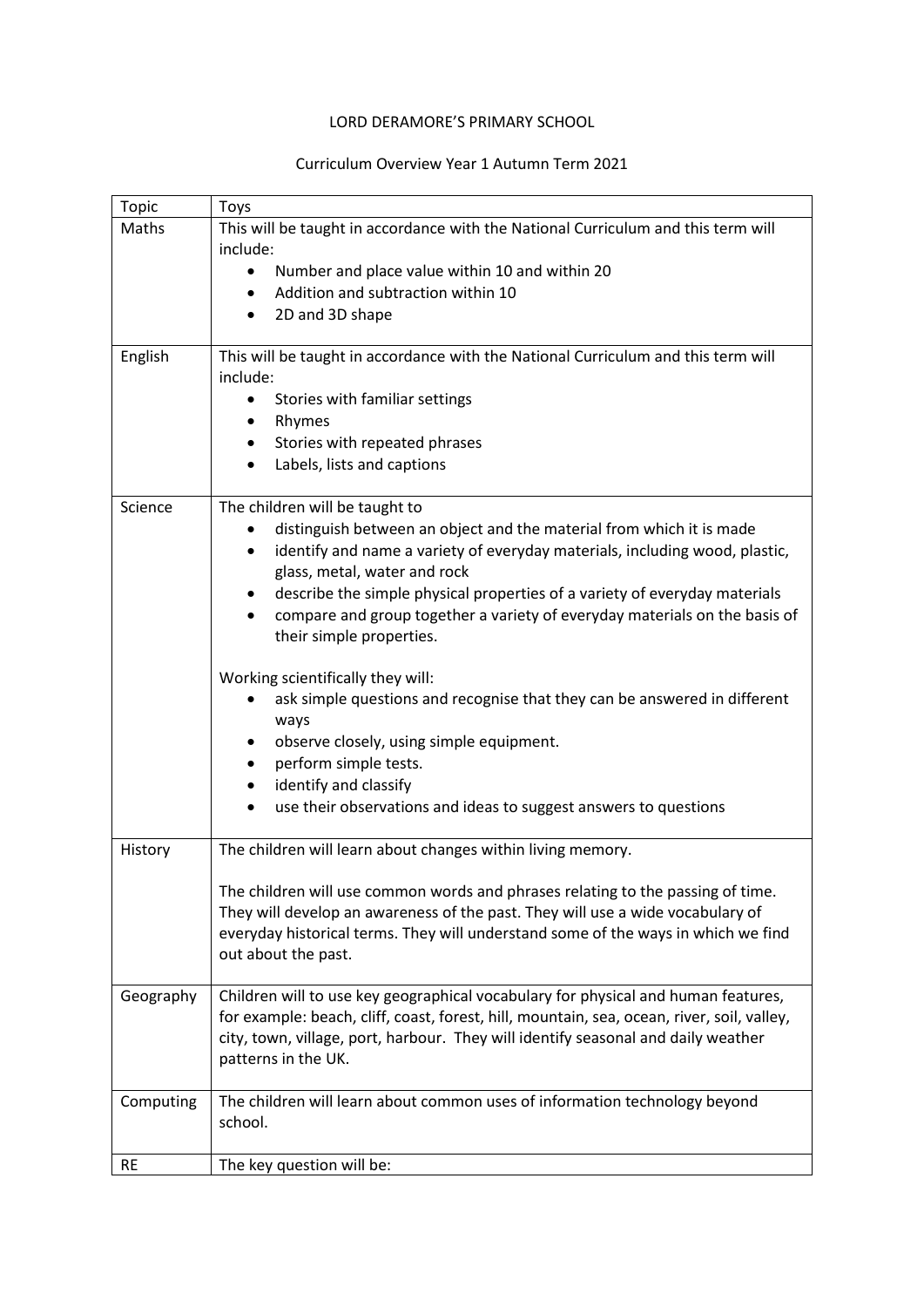## LORD DERAMORE'S PRIMARY SCHOOL

## Curriculum Overview Year 1 Autumn Term 2021

| <b>Topic</b> | Toys                                                                                                        |
|--------------|-------------------------------------------------------------------------------------------------------------|
| Maths        | This will be taught in accordance with the National Curriculum and this term will                           |
|              | include:                                                                                                    |
|              | Number and place value within 10 and within 20                                                              |
|              | Addition and subtraction within 10<br>٠                                                                     |
|              | 2D and 3D shape<br>$\bullet$                                                                                |
| English      | This will be taught in accordance with the National Curriculum and this term will                           |
|              | include:                                                                                                    |
|              | Stories with familiar settings<br>$\bullet$                                                                 |
|              | Rhymes                                                                                                      |
|              | Stories with repeated phrases<br>$\bullet$                                                                  |
|              | Labels, lists and captions                                                                                  |
| Science      | The children will be taught to                                                                              |
|              | distinguish between an object and the material from which it is made                                        |
|              | identify and name a variety of everyday materials, including wood, plastic,<br>glass, metal, water and rock |
|              | describe the simple physical properties of a variety of everyday materials                                  |
|              | compare and group together a variety of everyday materials on the basis of                                  |
|              | their simple properties.                                                                                    |
|              | Working scientifically they will:                                                                           |
|              | ask simple questions and recognise that they can be answered in different                                   |
|              | ways                                                                                                        |
|              | observe closely, using simple equipment.<br>perform simple tests.<br>٠                                      |
|              | identify and classify                                                                                       |
|              | use their observations and ideas to suggest answers to questions                                            |
|              |                                                                                                             |
| History      | The children will learn about changes within living memory.                                                 |
|              | The children will use common words and phrases relating to the passing of time.                             |
|              | They will develop an awareness of the past. They will use a wide vocabulary of                              |
|              | everyday historical terms. They will understand some of the ways in which we find                           |
|              | out about the past.                                                                                         |
| Geography    | Children will to use key geographical vocabulary for physical and human features,                           |
|              | for example: beach, cliff, coast, forest, hill, mountain, sea, ocean, river, soil, valley,                  |
|              | city, town, village, port, harbour. They will identify seasonal and daily weather                           |
|              | patterns in the UK.                                                                                         |
| Computing    | The children will learn about common uses of information technology beyond                                  |
|              | school.                                                                                                     |
| <b>RE</b>    | The key question will be:                                                                                   |
|              |                                                                                                             |